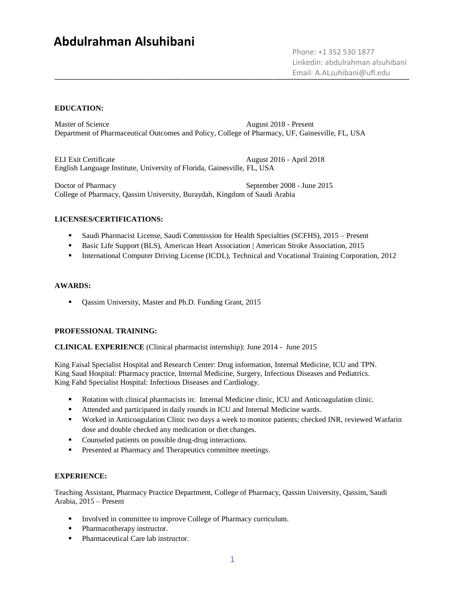# **Abdulrahman Alsuhibani**

\_\_\_\_\_\_\_\_\_\_\_\_\_\_\_\_\_\_\_\_\_\_\_\_\_\_\_\_\_\_\_\_\_\_\_\_\_\_\_\_\_\_\_\_\_\_\_\_\_\_\_\_\_\_\_\_\_\_\_\_\_\_\_\_\_\_\_\_\_\_\_\_\_\_\_\_\_\_\_\_\_\_\_\_ Email: A.ALsuhibani@ufl.edu Phone: +1 352 530 1877 Linkedin: abdulrahman alsuhibani

### **EDUCATION:**

Master of Science August 2018 - Present Department of Pharmaceutical Outcomes and Policy, College of Pharmacy, UF, Gainesville, FL, USA

ELI Exit Certificate August 2016 - April 2018 English Language Institute, University of Florida, Gainesville, FL, USA

Doctor of Pharmacy September 2008 - June 2015 College of Pharmacy, Qassim University, Buraydah, Kingdom of Saudi Arabia

### **LICENSES/CERTIFICATIONS:**

- Saudi Pharmacist License, Saudi Commission for Health Specialties (SCFHS), 2015 Present
- **Basic Life Support (BLS), American Heart Association | American Stroke Association, 2015**
- **International Computer Driving License (ICDL), Technical and Vocational Training Corporation, 2012**

#### **AWARDS:**

■ Qassim University, Master and Ph.D. Funding Grant, 2015

### **PROFESSIONAL TRAINING:**

**CLINICAL EXPERIENCE** (Clinical pharmacist internship): June 2014 - June 2015

King Faisal Specialist Hospital and Research Center: Drug information, Internal Medicine, ICU and TPN. King Saud Hospital: Pharmacy practice, Internal Medicine, Surgery, Infectious Diseases and Pediatrics. King Fahd Specialist Hospital: Infectious Diseases and Cardiology.

- Rotation with clinical pharmacists in: Internal Medicine clinic, ICU and Anticoagulation clinic.
- Attended and participated in daily rounds in ICU and Internal Medicine wards.
- Worked in Anticoagulation Clinic two days a week to monitor patients; checked INR, reviewed Warfarin dose and double checked any medication or diet changes.
- Counseled patients on possible drug-drug interactions.
- **•** Presented at Pharmacy and Therapeutics committee meetings.

### **EXPERIENCE:**

Teaching Assistant, Pharmacy Practice Department, College of Pharmacy, Qassim University, Qassim, Saudi Arabia, 2015 – Present

- Involved in committee to improve College of Pharmacy curriculum.
- Pharmacotherapy instructor.
- Pharmaceutical Care lab instructor.